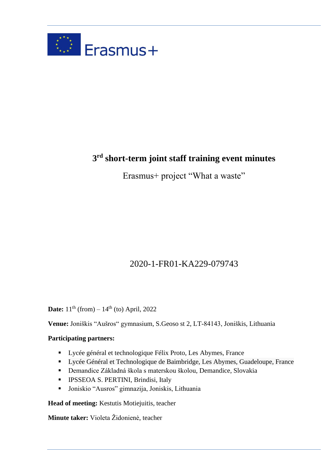

# **3 rd short-term joint staff training event minutes**

Erasmus+ project "What a waste"

# 2020-1-FR01-KA229-079743

**Date:**  $11^{th}$  (from) –  $14^{th}$  (to) April, 2022

**Venue:** Joniškis "Aušros" gymnasium, S.Geoso st 2, LT-84143, Joniškis, Lithuania

# **Participating partners:**

- Lycée général et technologique Félix Proto, Les Abymes, France
- Lycée Général et Technologique de Baimbridge, Les Abymes, Guadeloupe, France
- Demandice Základná škola s materskou školou, Demandice, Slovakia
- **·** IPSSEOA S. PERTINI, Brindisi, Italy
- Joniskio "Ausros" gimnazija, Joniskis, Lithuania

**Head of meeting:** Kestutis Motiejuitis, teacher

**Minute taker:** Violeta Židonienė, teacher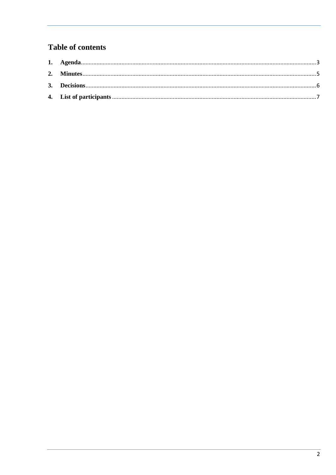# **Table of contents**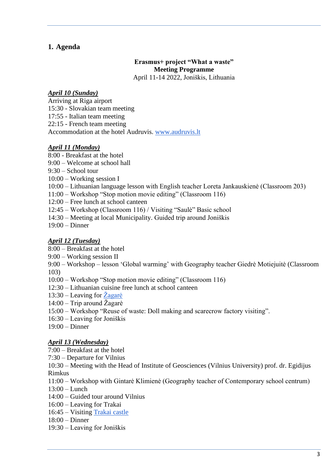### <span id="page-2-0"></span>**1. Agenda**

# **Erasmus+ project "What a waste" Meeting Programme**

April 11-14 2022, Joniškis, Lithuania

#### *April 10 (Sunday)*

Arriving at Riga airport 15:30 - Slovakian team meeting 17:55 - Italian team meeting 22:15 - French team meeting Accommodation at the hotel Audruvis. [www.audruvis.lt](https://audruvis.lt/en/home/)

#### *April 11 (Monday)*

- 8:00 Breakfast at the hotel
- 9:00 Welcome at school hall
- 9:30 School tour
- 10:00 Working session I
- 10:00 Lithuanian language lesson with English teacher Loreta Jankauskienė (Classroom 203)
- 11:00 Workshop "Stop motion movie editing" (Classroom 116)
- 12:00 Free lunch at school canteen
- 12:45 Workshop (Classroom 116) / Visiting "Saulė" Basic school
- 14:30 Meeting at local Municipality. Guided trip around Joniškis
- 19:00 Dinner

#### *April 12 (Tuesday)*

- 8:00 Breakfast at the hotel
- 9:00 Working session II

9:00 – Workshop – lesson 'Global warming' with Geography teacher Giedrė Motiejuitė (Classroom 103)

- 10:00 Workshop "Stop motion movie editing" (Classroom 116)
- 12:30 Lithuanian cuisine free lunch at school canteen
- 13:30 Leaving for  $\angle Z$ agarė
- 14:00 Trip around Žagarė
- 15:00 Workshop "Reuse of waste: Doll making and scarecrow factory visiting".
- 16:30 Leaving for Joniškis
- $19:00 -$ Dinner

#### *April 13 (Wednesday)*

7:00 – Breakfast at the hotel

7:30 – Departure for Vilnius

10:30 – Meeting with the Head of Institute of Geosciences (Vilnius University) prof. dr. Egidijus Rimkus

- 11:00 Workshop with Gintarė Klimienė (Geography teacher of Contemporary school centrum)
- 13:00 Lunch
- 14:00 Guided tour around Vilnius
- 16:00 Leaving for Trakai
- 16:45 Visiting [Trakai castle](https://www.govilnius.lt/visit-vilnius/places/trakai-castle)
- 18:00 Dinner
- 19:30 Leaving for Joniškis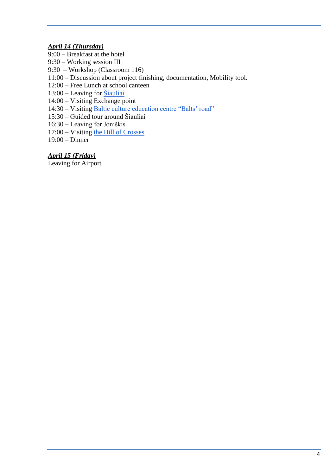## *April 14 (Thursday)*

- 9:00 Breakfast at the hotel
- 9:30 Working session III
- 9:30 Workshop (Classroom 116)
- 11:00 Discussion about project finishing, documentation, Mobility tool.
- 12:00 Free Lunch at school canteen
- $13:00$  Leaving for  $\underline{\tilde{S}}$ iauliai
- 14:00 Visiting Exchange point
- 14:30 Visiting [Baltic culture education centre "Balts' road"](https://www.baltukelias.lt/en/sightseeing-places/balts-culture-educational-centre-baltu-kelias/)
- 15:30 Guided tour around Šiauliai
- 16:30 Leaving for Joniškis
- 17:00 Visiting [the Hill of Crosses](https://www.lithuania.travel/en/place/the-hill-of-crosses)
- 19:00 Dinner

### *April 15 (Friday)*

Leaving for Airport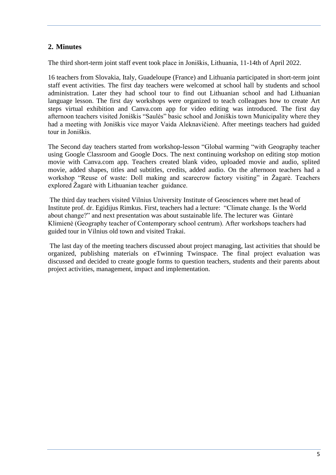# <span id="page-4-0"></span>**2. Minutes**

The third short-term joint staff event took place in Joniškis, Lithuania, 11-14th of April 2022.

16 teachers from Slovakia, Italy, Guadeloupe (France) and Lithuania participated in short-term joint staff event activities. The first day teachers were welcomed at school hall by students and school administration. Later they had school tour to find out Lithuanian school and had Lithuanian language lesson. The first day workshops were organized to teach colleagues how to create Art steps virtual exhibition and Canva.com app for video editing was introduced. The first day afternoon teachers visited Joniškis "Saulės" basic school and Joniškis town Municipality where they had a meeting with Joniškis vice mayor Vaida Aleknavičienė. After meetings teachers had guided tour in Joniškis.

The Second day teachers started from workshop-lesson "Global warming "with Geography teacher using Google Classroom and Google Docs. The next continuing workshop on editing stop motion movie with Canva.com app. Teachers created blank video, uploaded movie and audio, splited movie, added shapes, titles and subtitles, credits, added audio. On the afternoon teachers had a workshop "Reuse of waste: Doll making and scarecrow factory visiting" in Žagarė. Teachers explored Žagarė with Lithuanian teacher guidance.

The third day teachers visited Vilnius University Institute of Geosciences where met head of Institute prof. dr. Egidijus Rimkus. First, teachers had a lecture: "Climate change. Is the World about change?" and next presentation was about sustainable life. The lecturer was Gintarė Klimienė (Geography teacher of Contemporary school centrum). After workshops teachers had guided tour in Vilnius old town and visited Trakai.

The last day of the meeting teachers discussed about project managing, last activities that should be organized, publishing materials on eTwinning Twinspace. The final project evaluation was discussed and decided to create google forms to question teachers, students and their parents about project activities, management, impact and implementation.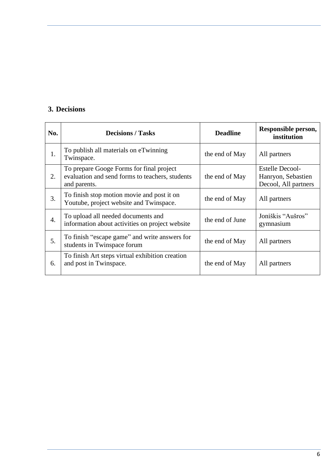# <span id="page-5-0"></span>**3. Decisions**

| No. | <b>Decisions / Tasks</b>                                                                                    | <b>Deadline</b> | Responsible person,<br>institution                                   |
|-----|-------------------------------------------------------------------------------------------------------------|-----------------|----------------------------------------------------------------------|
| 1.  | To publish all materials on eTwinning<br>Twinspace.                                                         | the end of May  | All partners                                                         |
| 2.  | To prepare Googe Forms for final project<br>evaluation and send forms to teachers, students<br>and parents. | the end of May  | <b>Estelle Decool-</b><br>Hanryon, Sebastien<br>Decool, All partners |
| 3.  | To finish stop motion movie and post it on<br>Youtube, project website and Twinspace.                       | the end of May  | All partners                                                         |
| 4.  | To upload all needed documents and<br>information about activities on project website                       | the end of June | Joniškis "Aušros"<br>gymnasium                                       |
| 5.  | To finish "escape game" and write answers for<br>students in Twinspace forum                                | the end of May  | All partners                                                         |
| 6.  | To finish Art steps virtual exhibition creation<br>and post in Twinspace.                                   | the end of May  | All partners                                                         |